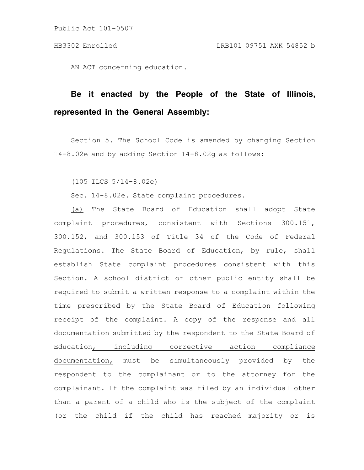Public Act 101-0507

AN ACT concerning education.

## **Be it enacted by the People of the State of Illinois, represented in the General Assembly:**

Section 5. The School Code is amended by changing Section 14-8.02e and by adding Section 14-8.02g as follows:

(105 ILCS 5/14-8.02e)

Sec. 14-8.02e. State complaint procedures.

(a) The State Board of Education shall adopt State complaint procedures, consistent with Sections 300.151, 300.152, and 300.153 of Title 34 of the Code of Federal Regulations. The State Board of Education, by rule, shall establish State complaint procedures consistent with this Section. A school district or other public entity shall be required to submit a written response to a complaint within the time prescribed by the State Board of Education following receipt of the complaint. A copy of the response and all documentation submitted by the respondent to the State Board of Education, including corrective action compliance documentation, must be simultaneously provided by the respondent to the complainant or to the attorney for the complainant. If the complaint was filed by an individual other than a parent of a child who is the subject of the complaint (or the child if the child has reached majority or is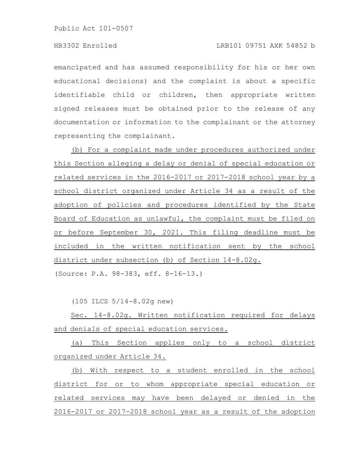Public Act 101-0507

## HB3302 Enrolled LRB101 09751 AXK 54852 b

emancipated and has assumed responsibility for his or her own educational decisions) and the complaint is about a specific identifiable child or children, then appropriate written signed releases must be obtained prior to the release of any documentation or information to the complainant or the attorney representing the complainant.

(b) For a complaint made under procedures authorized under this Section alleging a delay or denial of special education or related services in the 2016-2017 or 2017-2018 school year by a school district organized under Article 34 as a result of the adoption of policies and procedures identified by the State Board of Education as unlawful, the complaint must be filed on or before September 30, 2021. This filing deadline must be included in the written notification sent by the school district under subsection (b) of Section 14-8.02g. (Source: P.A. 98-383, eff. 8-16-13.)

(105 ILCS 5/14-8.02g new)

Sec. 14-8.02g. Written notification required for delays and denials of special education services.

(a) This Section applies only to a school district organized under Article 34.

(b) With respect to a student enrolled in the school district for or to whom appropriate special education or related services may have been delayed or denied in the 2016-2017 or 2017-2018 school year as a result of the adoption